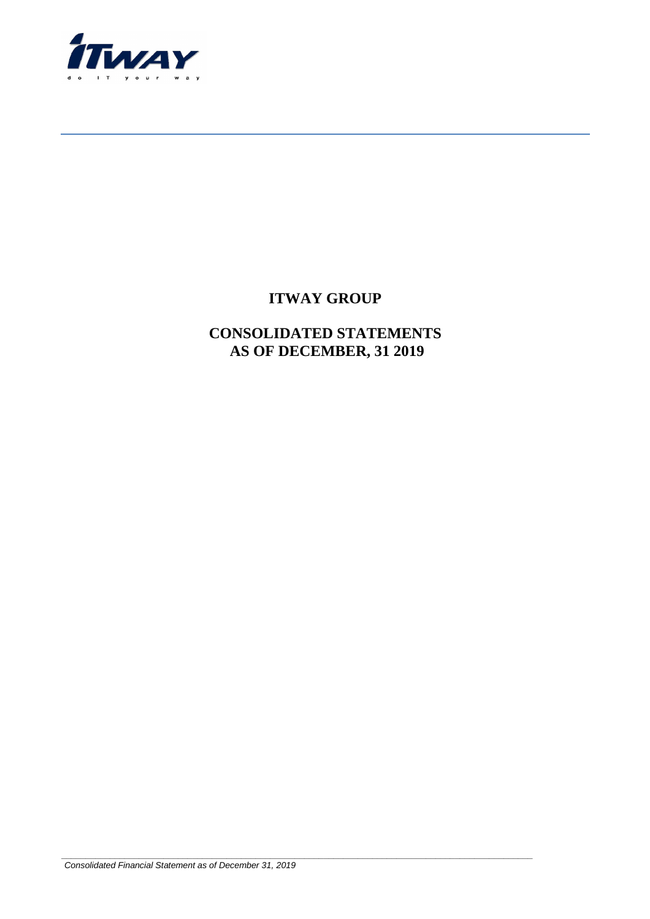

# **ITWAY GROUP**

## **CONSOLIDATED STATEMENTS AS OF DECEMBER, 31 2019**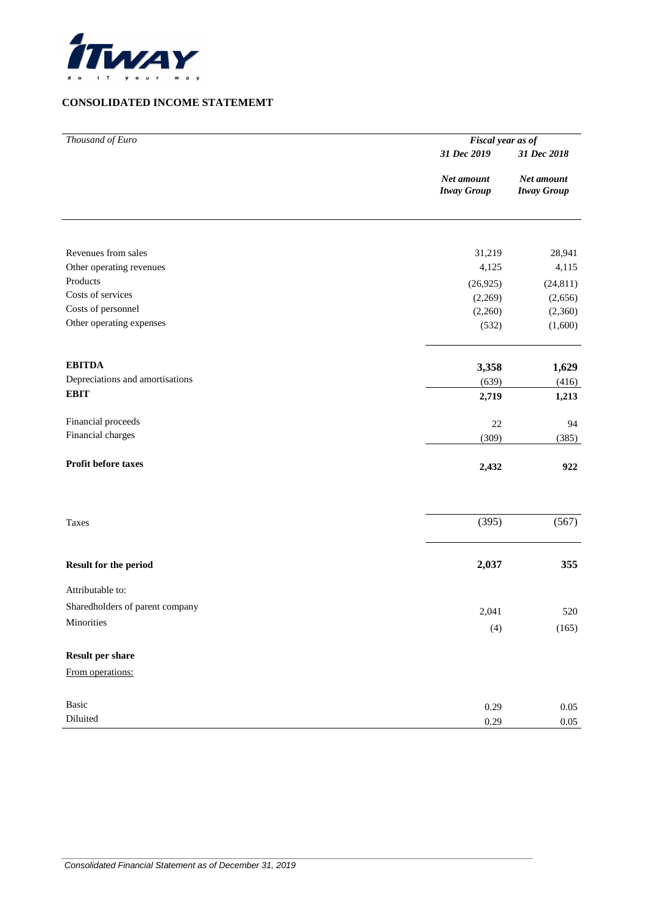

### **CONSOLIDATED INCOME STATEMEMT**

| Thousand of Euro                | Fiscal year as of                |                                  |  |  |  |  |
|---------------------------------|----------------------------------|----------------------------------|--|--|--|--|
|                                 | 31 Dec 2019                      | 31 Dec 2018                      |  |  |  |  |
|                                 | Net amount<br><b>Itway Group</b> | Net amount<br><b>Itway Group</b> |  |  |  |  |
|                                 |                                  |                                  |  |  |  |  |
| Revenues from sales             | 31,219                           | 28,941                           |  |  |  |  |
| Other operating revenues        | 4,125                            | 4,115                            |  |  |  |  |
| Products                        | (26, 925)                        | (24, 811)                        |  |  |  |  |
| Costs of services               | (2,269)                          | (2,656)                          |  |  |  |  |
| Costs of personnel              | (2,260)                          | (2,360)                          |  |  |  |  |
| Other operating expenses        | (532)                            | (1,600)                          |  |  |  |  |
| <b>EBITDA</b>                   | 3,358                            | 1,629                            |  |  |  |  |
| Depreciations and amortisations | (639)                            | (416)                            |  |  |  |  |
| <b>EBIT</b>                     | 2,719                            | 1,213                            |  |  |  |  |
| Financial proceeds              | $22\,$                           | 94                               |  |  |  |  |
| Financial charges               | (309)                            | (385)                            |  |  |  |  |
| Profit before taxes             | 2,432                            | 922                              |  |  |  |  |
| Taxes                           | (395)                            | (567)                            |  |  |  |  |
| Result for the period           | 2,037                            | 355                              |  |  |  |  |
| Attributable to:                |                                  |                                  |  |  |  |  |
| Sharedholders of parent company | 2,041                            | 520                              |  |  |  |  |
| Minorities                      | (4)                              | (165)                            |  |  |  |  |
| <b>Result per share</b>         |                                  |                                  |  |  |  |  |
| From operations:                |                                  |                                  |  |  |  |  |
| Basic                           | 0.29                             | $0.05\,$                         |  |  |  |  |
| Diluited                        | 0.29                             | $0.05\,$                         |  |  |  |  |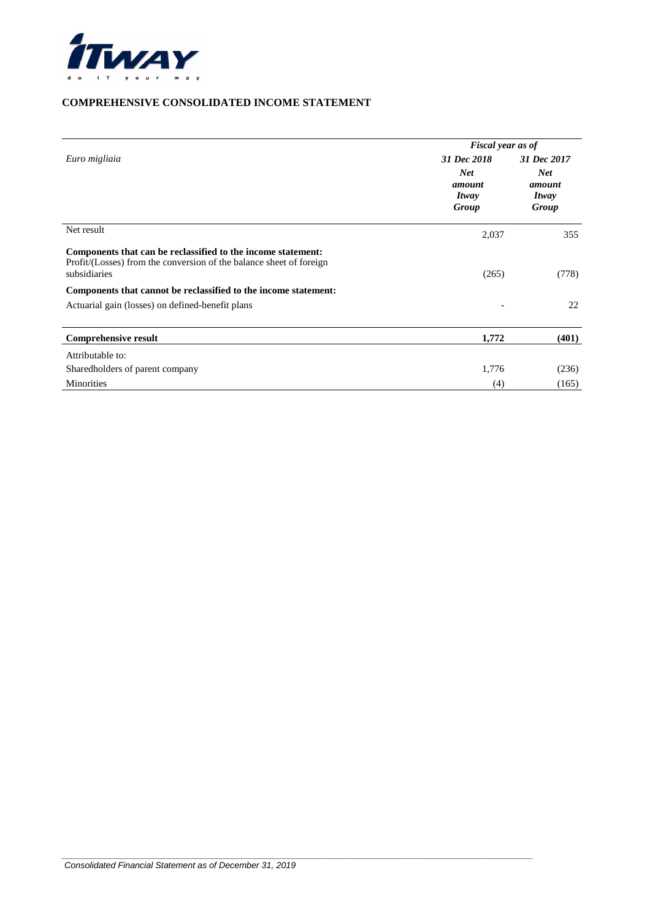

### **COMPREHENSIVE CONSOLIDATED INCOME STATEMENT**

|                                                                                                                                                     | Fiscal year as of                      |                                        |  |  |  |  |
|-----------------------------------------------------------------------------------------------------------------------------------------------------|----------------------------------------|----------------------------------------|--|--|--|--|
| Euro migliaia                                                                                                                                       | 31 Dec 2018                            | 31 Dec 2017                            |  |  |  |  |
|                                                                                                                                                     | <b>Net</b><br>amount<br>Itway<br>Group | <b>Net</b><br>amount<br>Itway<br>Group |  |  |  |  |
| Net result                                                                                                                                          | 2,037                                  | 355                                    |  |  |  |  |
| Components that can be reclassified to the income statement:<br>Profit/(Losses) from the conversion of the balance sheet of foreign<br>subsidiaries | (265)                                  | (778)                                  |  |  |  |  |
| Components that cannot be reclassified to the income statement:                                                                                     |                                        |                                        |  |  |  |  |
| Actuarial gain (losses) on defined-benefit plans                                                                                                    |                                        | 22                                     |  |  |  |  |
| <b>Comprehensive result</b>                                                                                                                         | 1,772                                  | (401)                                  |  |  |  |  |
| Attributable to:                                                                                                                                    |                                        |                                        |  |  |  |  |
| Sharedholders of parent company                                                                                                                     | 1,776                                  | (236)                                  |  |  |  |  |
| Minorities                                                                                                                                          | (4)                                    | (165)                                  |  |  |  |  |

 $\overline{a}$  , and the set of the set of the set of the set of the set of the set of the set of the set of the set of the set of the set of the set of the set of the set of the set of the set of the set of the set of the set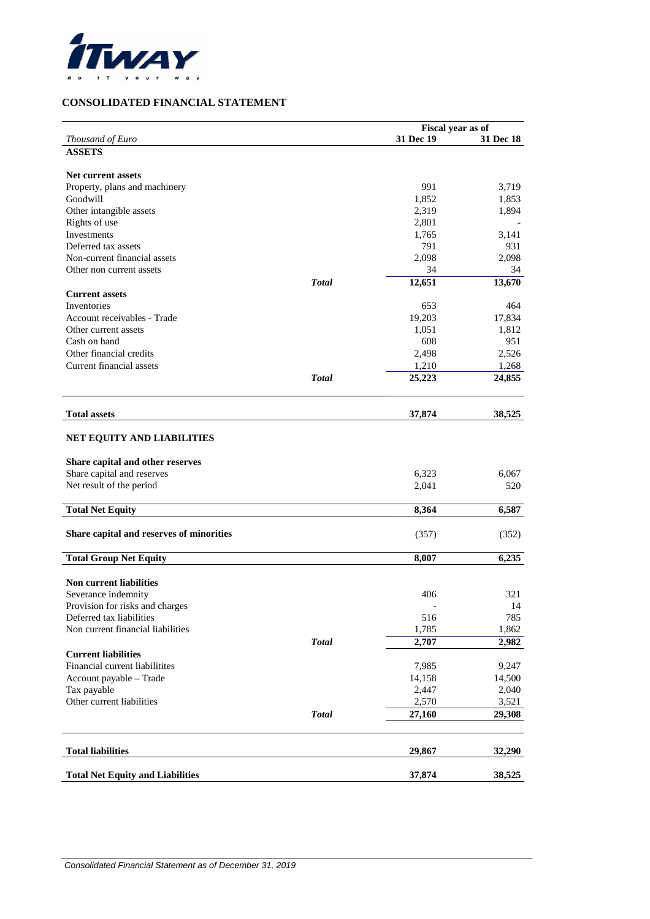

### **CONSOLIDATED FINANCIAL STATEMENT**

|                                                             |              | Fiscal year as of |              |
|-------------------------------------------------------------|--------------|-------------------|--------------|
| Thousand of Euro                                            |              | 31 Dec 19         | 31 Dec 18    |
| <b>ASSETS</b>                                               |              |                   |              |
|                                                             |              |                   |              |
| <b>Net current assets</b>                                   |              |                   |              |
| Property, plans and machinery                               |              | 991               | 3,719        |
| Goodwill                                                    |              | 1,852             | 1,853        |
| Other intangible assets                                     |              | 2,319             | 1,894        |
| Rights of use                                               |              | 2,801             |              |
| Investments                                                 |              | 1,765             | 3,141        |
| Deferred tax assets                                         |              | 791               | 931          |
| Non-current financial assets                                |              | 2,098             | 2,098        |
| Other non current assets                                    |              | 34                | 34           |
|                                                             | <b>Total</b> | 12,651            | 13,670       |
| <b>Current assets</b>                                       |              |                   |              |
| Inventories                                                 |              | 653               | 464          |
| Account receivables - Trade                                 |              | 19,203            | 17,834       |
| Other current assets<br>Cash on hand                        |              | 1,051             | 1,812        |
|                                                             |              | 608               | 951          |
| Other financial credits                                     |              | 2,498             | 2,526        |
| Current financial assets                                    | <b>Total</b> | 1,210             | 1,268        |
|                                                             |              | 25,223            | 24,855       |
|                                                             |              |                   |              |
| <b>Total assets</b>                                         |              | 37,874            | 38,525       |
| NET EQUITY AND LIABILITIES                                  |              |                   |              |
|                                                             |              |                   |              |
| Share capital and other reserves                            |              |                   |              |
| Share capital and reserves                                  |              | 6,323             | 6,067        |
| Net result of the period                                    |              | 2,041             | 520          |
| <b>Total Net Equity</b>                                     |              | 8,364             | 6,587        |
|                                                             |              |                   |              |
| Share capital and reserves of minorities                    |              | (357)             | (352)        |
| <b>Total Group Net Equity</b>                               |              | 8,007             | 6,235        |
|                                                             |              |                   |              |
| <b>Non current liabilities</b>                              |              |                   |              |
| Severance indemnity                                         |              | 406               | 321          |
| Provision for risks and charges<br>Deferred tax liabilities |              |                   | 14           |
| Non current financial liabilities                           |              | 516<br>1,785      | 785<br>1,862 |
|                                                             |              | 2,707             |              |
| <b>Current liabilities</b>                                  | <b>Total</b> |                   | 2,982        |
| Financial current liabilitites                              |              | 7,985             | 9,247        |
| Account payable - Trade                                     |              | 14,158            | 14,500       |
| Tax payable                                                 |              | 2,447             | 2,040        |
| Other current liabilities                                   |              | 2,570             | 3,521        |
|                                                             | <b>Total</b> | 27,160            | 29,308       |
|                                                             |              |                   |              |
| <b>Total liabilities</b>                                    |              | 29,867            | 32,290       |
|                                                             |              |                   |              |
| <b>Total Net Equity and Liabilities</b>                     |              | 37,874            | 38,525       |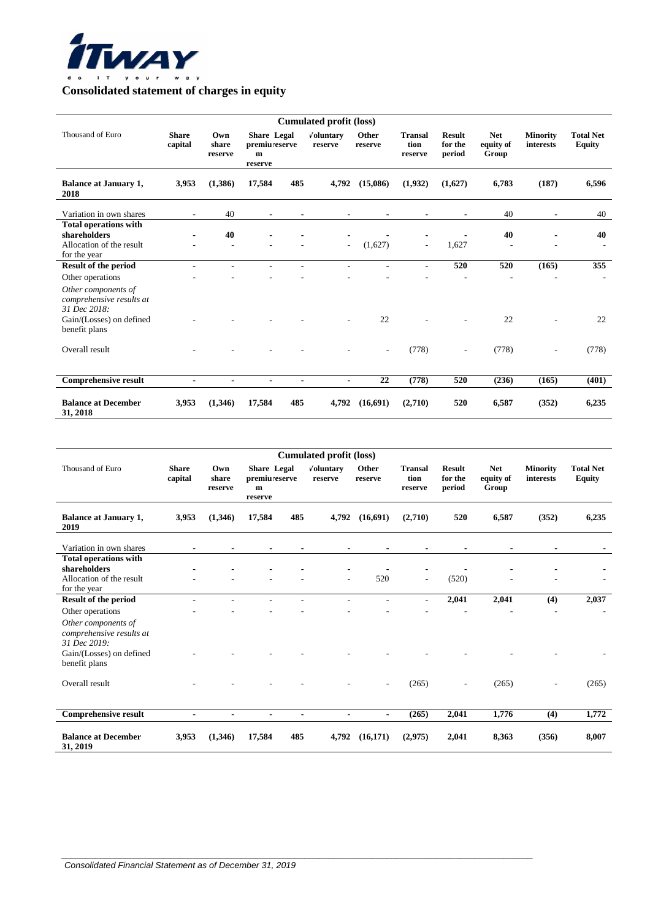

## **Consolidated statement of charges in equity**

| <b>Cumulated profit (loss)</b>                                                                                                   |                          |                          |                                                                 |                |                          |                          |                                   |                                    |                                  |                              |                                   |
|----------------------------------------------------------------------------------------------------------------------------------|--------------------------|--------------------------|-----------------------------------------------------------------|----------------|--------------------------|--------------------------|-----------------------------------|------------------------------------|----------------------------------|------------------------------|-----------------------------------|
| Thousand of Euro                                                                                                                 | <b>Share</b><br>capital  | Own<br>share<br>reserve  | <b>Share</b> Legal<br>premiu reserve<br>$\mathbf{m}$<br>reserve |                | Voluntary<br>reserve     | Other<br>reserve         | <b>Transal</b><br>tion<br>reserve | <b>Result</b><br>for the<br>period | <b>Net</b><br>equity of<br>Group | <b>Minority</b><br>interests | <b>Total Net</b><br><b>Equity</b> |
| <b>Balance at January 1,</b><br>2018                                                                                             | 3,953                    | (1,386)                  | 17,584                                                          | 485            | 4,792                    | (15,086)                 | (1,932)                           | (1,627)                            | 6,783                            | (187)                        | 6,596                             |
| Variation in own shares                                                                                                          | $\overline{\phantom{a}}$ | 40                       | $\blacksquare$                                                  | $\blacksquare$ | ٠                        |                          |                                   |                                    | 40                               | $\blacksquare$               | 40                                |
| <b>Total operations with</b><br>shareholders<br>Allocation of the result<br>for the year                                         |                          | 40                       |                                                                 |                | $\overline{\phantom{a}}$ | (1,627)                  | $\blacksquare$                    | 1,627                              | 40                               |                              | 40                                |
| <b>Result of the period</b>                                                                                                      |                          |                          |                                                                 |                |                          |                          |                                   | 520                                | 520                              | (165)                        | 355                               |
| Other operations<br>Other components of<br>comprehensive results at<br>31 Dec 2018:<br>Gain/(Losses) on defined<br>benefit plans |                          |                          |                                                                 |                |                          | 22                       |                                   |                                    | 22                               |                              | 22                                |
| Overall result                                                                                                                   |                          |                          |                                                                 |                |                          | $\overline{\phantom{a}}$ | (778)                             |                                    | (778)                            |                              | (778)                             |
| <b>Comprehensive result</b>                                                                                                      | $\overline{a}$           | $\overline{\phantom{a}}$ |                                                                 | ۰              | ٠                        | 22                       | (778)                             | 520                                | (236)                            | (165)                        | (401)                             |
| <b>Balance at December</b><br>31, 2018                                                                                           | 3.953                    | (1.346)                  | 17,584                                                          | 485            | 4,792                    | (16,691)                 | (2,710)                           | 520                                | 6,587                            | (352)                        | 6,235                             |

| <b>Cumulated profit (loss)</b>                                                           |                         |                         |                                                                 |                |                      |                  |                                   |                                    |                                  |                              |                                   |
|------------------------------------------------------------------------------------------|-------------------------|-------------------------|-----------------------------------------------------------------|----------------|----------------------|------------------|-----------------------------------|------------------------------------|----------------------------------|------------------------------|-----------------------------------|
| Thousand of Euro                                                                         | <b>Share</b><br>capital | Own<br>share<br>reserve | <b>Share</b> Legal<br>premiu reserve<br>$\mathbf{m}$<br>reserve |                | Voluntary<br>reserve | Other<br>reserve | <b>Transal</b><br>tion<br>reserve | <b>Result</b><br>for the<br>period | <b>Net</b><br>equity of<br>Group | <b>Minority</b><br>interests | <b>Total Net</b><br><b>Equity</b> |
| <b>Balance at January 1,</b><br>2019                                                     | 3,953                   | (1,346)                 | 17,584                                                          | 485            | 4,792                | (16,691)         | (2,710)                           | 520                                | 6,587                            | (352)                        | 6,235                             |
| Variation in own shares                                                                  |                         |                         |                                                                 | $\blacksquare$ |                      |                  |                                   | $\blacksquare$                     |                                  |                              |                                   |
| <b>Total operations with</b><br>shareholders<br>Allocation of the result<br>for the year |                         |                         |                                                                 |                | ٠                    | 520              | $\blacksquare$                    | (520)                              |                                  |                              |                                   |
| <b>Result of the period</b>                                                              | $\overline{a}$          |                         | $\blacksquare$                                                  |                | $\blacksquare$       | $\blacksquare$   | $\blacksquare$                    | 2,041                              | 2,041                            | (4)                          | 2,037                             |
| Other operations<br>Other components of<br>comprehensive results at<br>31 Dec 2019:      |                         |                         |                                                                 |                |                      |                  |                                   |                                    |                                  |                              |                                   |
| Gain/(Losses) on defined<br>benefit plans                                                |                         |                         |                                                                 |                |                      |                  |                                   |                                    |                                  |                              |                                   |
| Overall result                                                                           |                         |                         |                                                                 |                |                      | ٠                | (265)                             |                                    | (265)                            |                              | (265)                             |
| <b>Comprehensive result</b>                                                              | $\overline{a}$          |                         | $\blacksquare$                                                  | $\blacksquare$ | ۰                    | $\blacksquare$   | (265)                             | 2,041                              | 1,776                            | (4)                          | 1,772                             |
| <b>Balance at December</b><br>31, 2019                                                   | 3,953                   | (1,346)                 | 17,584                                                          | 485            | 4,792                | (16, 171)        | (2,975)                           | 2,041                              | 8,363                            | (356)                        | 8,007                             |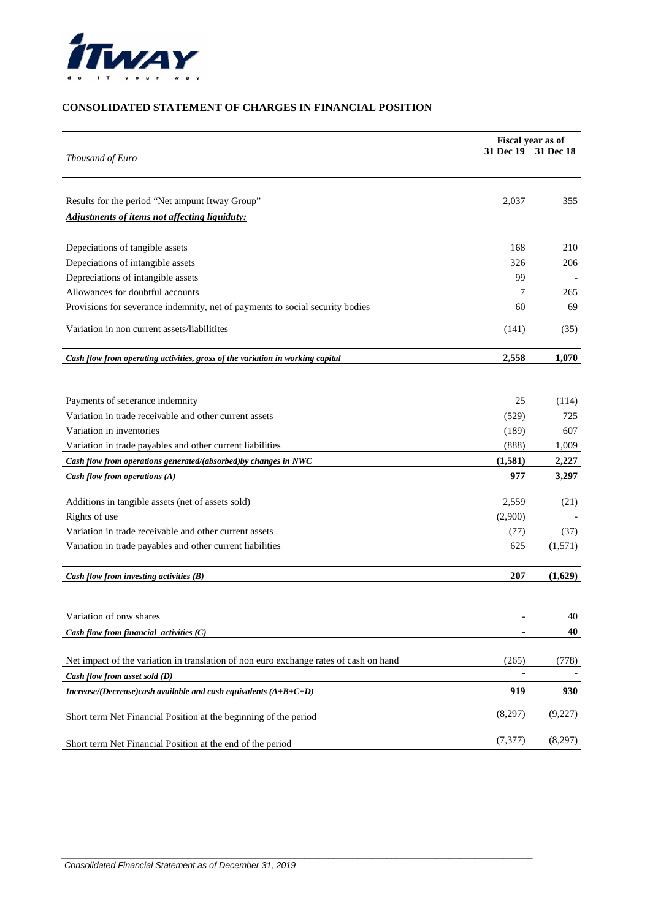

### **CONSOLIDATED STATEMENT OF CHARGES IN FINANCIAL POSITION**

| Thousand of Euro                                                                      | Fiscal year as of<br>31 Dec 19 31 Dec 18 |         |  |
|---------------------------------------------------------------------------------------|------------------------------------------|---------|--|
|                                                                                       |                                          |         |  |
| Results for the period "Net ampunt Itway Group"                                       | 2,037                                    | 355     |  |
| Adjustments of items not affecting liquiduty:                                         |                                          |         |  |
| Depeciations of tangible assets                                                       | 168                                      | 210     |  |
| Depeciations of intangible assets                                                     | 326                                      | 206     |  |
| Depreciations of intangible assets                                                    | 99                                       |         |  |
| Allowances for doubtful accounts                                                      | 7                                        | 265     |  |
| Provisions for severance indemnity, net of payments to social security bodies         | 60                                       | 69      |  |
| Variation in non current assets/liabilitites                                          | (141)                                    | (35)    |  |
| Cash flow from operating activities, gross of the variation in working capital        | 2,558                                    | 1,070   |  |
|                                                                                       |                                          |         |  |
| Payments of secerance indemnity                                                       | 25                                       | (114)   |  |
| Variation in trade receivable and other current assets                                | (529)                                    | 725     |  |
| Variation in inventories                                                              | (189)                                    | 607     |  |
| Variation in trade payables and other current liabilities                             | (888)                                    | 1,009   |  |
| Cash flow from operations generated/(absorbed) by changes in NWC                      | (1,581)                                  | 2,227   |  |
| Cash flow from operations (A)                                                         | 977                                      | 3,297   |  |
|                                                                                       |                                          |         |  |
| Additions in tangible assets (net of assets sold)                                     | 2,559                                    | (21)    |  |
| Rights of use<br>Variation in trade receivable and other current assets               | (2,900)                                  |         |  |
|                                                                                       | (77)                                     | (37)    |  |
| Variation in trade payables and other current liabilities                             | 625                                      | (1,571) |  |
| Cash flow from investing activities $(B)$                                             | 207                                      | (1,629) |  |
|                                                                                       |                                          |         |  |
| Variation of onw shares                                                               |                                          | 40      |  |
| Cash flow from financial activities $(C)$                                             |                                          | 40      |  |
| Net impact of the variation in translation of non euro exchange rates of cash on hand | (265)                                    | (778)   |  |
| Cash flow from asset sold (D)                                                         |                                          |         |  |
| Increase/(Decrease)cash available and cash equivalents $(A+B+C+D)$                    | 919                                      | 930     |  |
| Short term Net Financial Position at the beginning of the period                      | (8,297)                                  | (9,227) |  |
| Short term Net Financial Position at the end of the period                            | (7, 377)                                 | (8,297) |  |

 $\overline{a}$  , and the set of the set of the set of the set of the set of the set of the set of the set of the set of the set of the set of the set of the set of the set of the set of the set of the set of the set of the set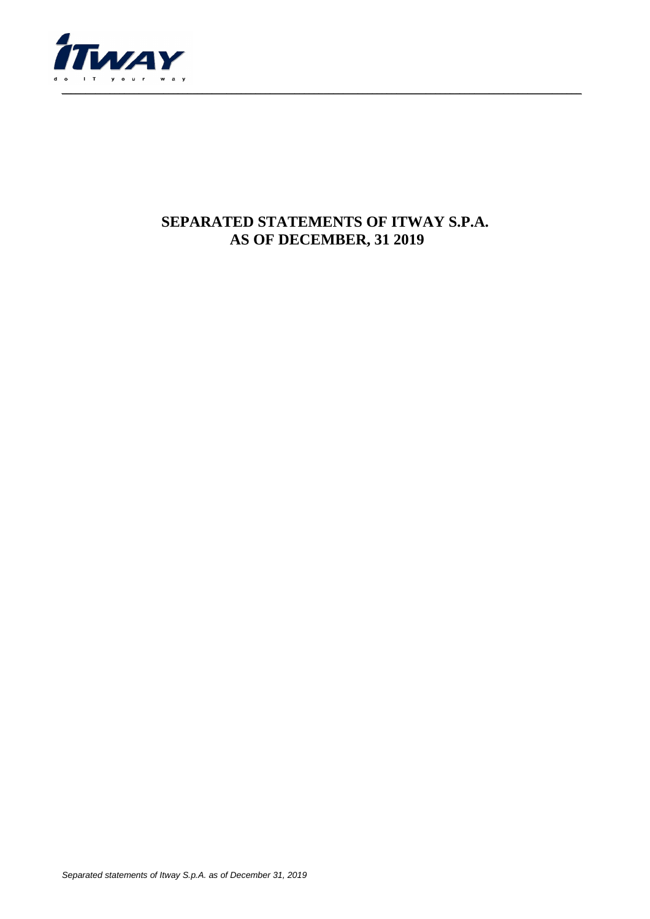

## **SEPARATED STATEMENTS OF ITWAY S.P.A. AS OF DECEMBER, 31 2019**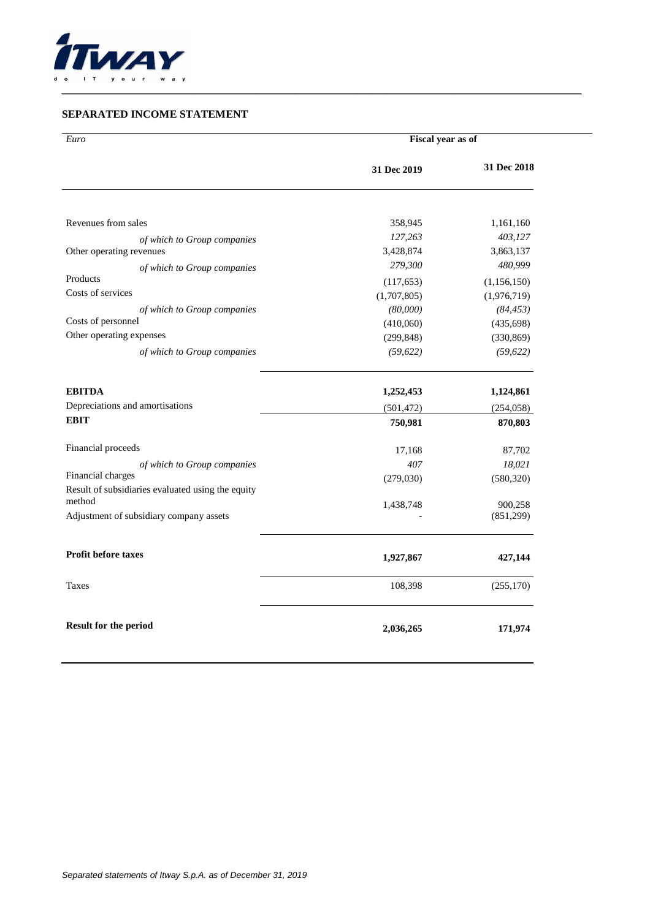

#### **SEPARATED INCOME STATEMENT**

| Euro                                              | Fiscal year as of |             |  |  |
|---------------------------------------------------|-------------------|-------------|--|--|
|                                                   | 31 Dec 2019       | 31 Dec 2018 |  |  |
|                                                   |                   |             |  |  |
| Revenues from sales                               | 358,945           | 1,161,160   |  |  |
| of which to Group companies                       | 127,263           | 403,127     |  |  |
| Other operating revenues                          | 3,428,874         | 3,863,137   |  |  |
| of which to Group companies                       | 279,300           | 480,999     |  |  |
| Products                                          | (117, 653)        | (1,156,150) |  |  |
| Costs of services                                 | (1,707,805)       | (1,976,719) |  |  |
| of which to Group companies                       | (80,000)          | (84, 453)   |  |  |
| Costs of personnel<br>Other operating expenses    | (410,060)         | (435, 698)  |  |  |
|                                                   | (299, 848)        | (330, 869)  |  |  |
| of which to Group companies                       | (59, 622)         | (59, 622)   |  |  |
| <b>EBITDA</b>                                     | 1,252,453         | 1,124,861   |  |  |
| Depreciations and amortisations                   | (501, 472)        | (254, 058)  |  |  |
| <b>EBIT</b>                                       | 750,981           | 870,803     |  |  |
| Financial proceeds                                | 17,168            | 87,702      |  |  |
| of which to Group companies                       | 407               | 18,021      |  |  |
| Financial charges                                 | (279, 030)        | (580, 320)  |  |  |
| Result of subsidiaries evaluated using the equity |                   |             |  |  |
| method                                            | 1,438,748         | 900,258     |  |  |
| Adjustment of subsidiary company assets           |                   | (851,299)   |  |  |
| <b>Profit before taxes</b>                        | 1,927,867         | 427,144     |  |  |
| Taxes                                             | 108,398           | (255, 170)  |  |  |
| <b>Result for the period</b>                      | 2,036,265         | 171,974     |  |  |

\_\_\_\_\_\_\_\_\_\_\_\_\_\_\_\_\_\_\_\_\_\_\_\_\_\_\_\_\_\_\_\_\_\_\_\_\_\_\_\_\_\_\_\_\_\_\_\_\_\_\_\_\_\_\_\_\_\_\_\_\_\_\_\_\_\_\_\_\_\_\_\_\_\_\_\_\_\_\_\_\_\_\_\_\_\_\_\_\_\_\_\_\_\_\_\_\_\_\_\_\_\_\_\_\_\_\_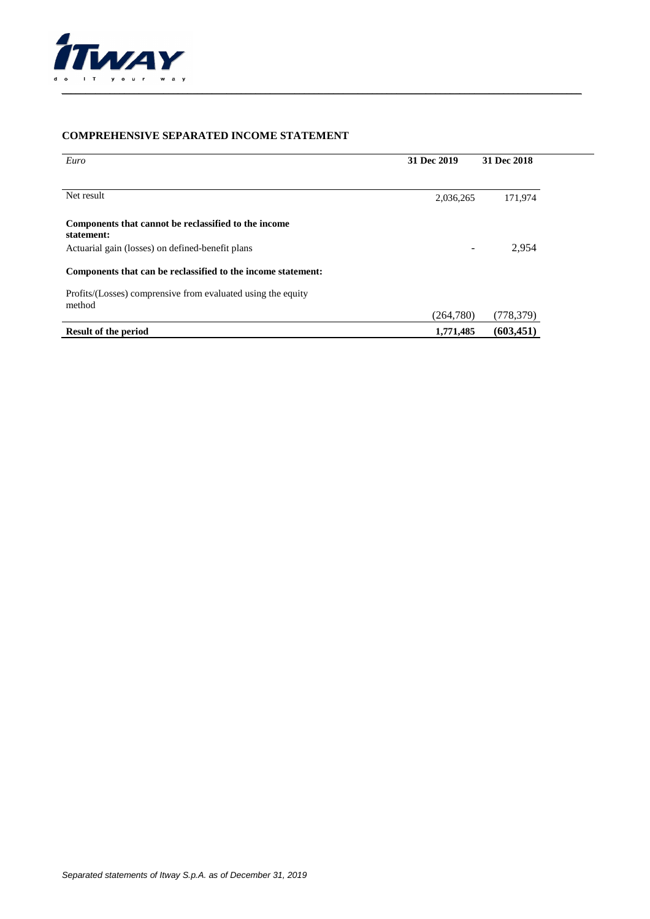

#### **COMPREHENSIVE SEPARATED INCOME STATEMENT**

| Euro                                                                   | 31 Dec 2019 | 31 Dec 2018 |
|------------------------------------------------------------------------|-------------|-------------|
| Net result                                                             | 2,036,265   | 171,974     |
| Components that cannot be reclassified to the income<br>statement:     |             |             |
| Actuarial gain (losses) on defined-benefit plans                       |             | 2,954       |
| Components that can be reclassified to the income statement:           |             |             |
| Profits/(Losses) comprensive from evaluated using the equity<br>method |             |             |
|                                                                        | (264,780)   | (778, 379)  |
| <b>Result of the period</b>                                            | 1,771,485   | (603, 451)  |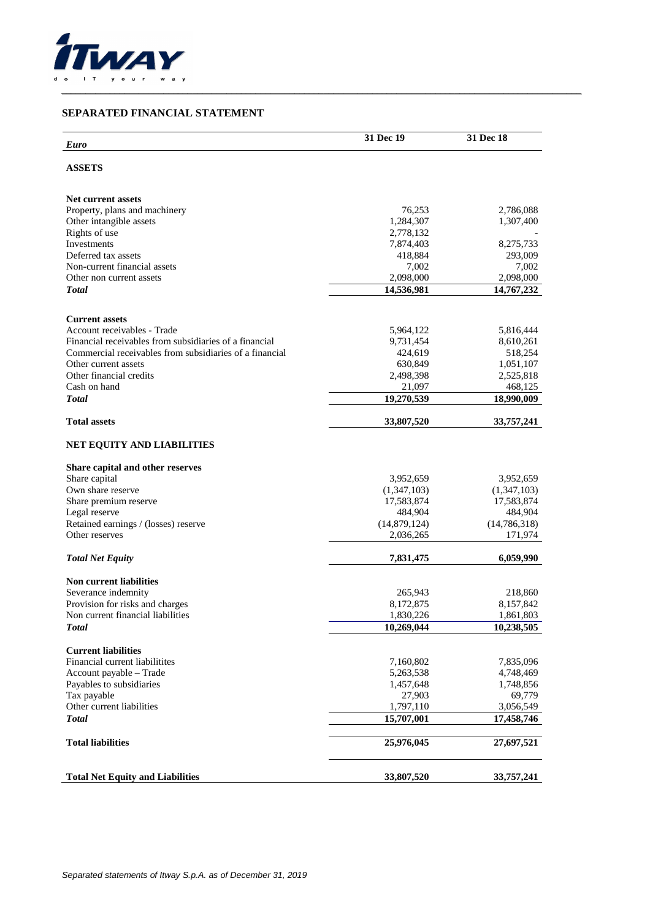

#### **SEPARATED FINANCIAL STATEMENT**

|                                                         | 31 Dec 19    | 31 Dec 18      |
|---------------------------------------------------------|--------------|----------------|
| <b>Euro</b>                                             |              |                |
| <b>ASSETS</b>                                           |              |                |
|                                                         |              |                |
| <b>Net current assets</b>                               |              |                |
| Property, plans and machinery                           | 76,253       | 2,786,088      |
| Other intangible assets                                 | 1,284,307    | 1,307,400      |
| Rights of use                                           | 2,778,132    |                |
| Investments                                             | 7,874,403    | 8,275,733      |
| Deferred tax assets                                     | 418,884      | 293,009        |
| Non-current financial assets                            | 7,002        | 7,002          |
| Other non current assets                                | 2,098,000    | 2,098,000      |
| <b>Total</b>                                            | 14,536,981   | 14,767,232     |
|                                                         |              |                |
| <b>Current assets</b><br>Account receivables - Trade    | 5,964,122    | 5,816,444      |
| Financial receivables from subsidiaries of a financial  | 9,731,454    | 8,610,261      |
| Commercial receivables from subsidiaries of a financial | 424,619      | 518,254        |
| Other current assets                                    | 630,849      | 1,051,107      |
| Other financial credits                                 | 2,498,398    | 2,525,818      |
| Cash on hand                                            | 21,097       | 468,125        |
| <b>Total</b>                                            | 19,270,539   | 18,990,009     |
| <b>Total assets</b>                                     |              |                |
|                                                         | 33,807,520   | 33,757,241     |
| NET EQUITY AND LIABILITIES                              |              |                |
| Share capital and other reserves                        |              |                |
| Share capital                                           | 3,952,659    | 3,952,659      |
| Own share reserve                                       | (1,347,103)  | (1,347,103)    |
| Share premium reserve                                   | 17,583,874   | 17,583,874     |
| Legal reserve                                           | 484,904      | 484,904        |
| Retained earnings / (losses) reserve                    | (14,879,124) | (14, 786, 318) |
| Other reserves                                          | 2,036,265    | 171,974        |
| <b>Total Net Equity</b>                                 | 7,831,475    | 6,059,990      |
| <b>Non current liabilities</b>                          |              |                |
| Severance indemnity                                     | 265,943      | 218,860        |
| Provision for risks and charges                         | 8,172,875    | 8,157,842      |
| Non current financial liabilities                       | 1,830,226    | 1,861,803      |
| <b>Total</b>                                            | 10,269,044   | 10,238,505     |
|                                                         |              |                |
| <b>Current liabilities</b>                              |              |                |
| Financial current liabilitites                          | 7,160,802    | 7,835,096      |
| Account payable - Trade                                 | 5,263,538    | 4,748,469      |
| Payables to subsidiaries                                | 1,457,648    | 1,748,856      |
| Tax payable                                             | 27,903       | 69,779         |
| Other current liabilities                               | 1,797,110    | 3,056,549      |
| <b>Total</b>                                            | 15,707,001   | 17,458,746     |
| <b>Total liabilities</b>                                | 25,976,045   | 27,697,521     |
|                                                         |              |                |
| <b>Total Net Equity and Liabilities</b>                 | 33,807,520   | 33,757,241     |

\_\_\_\_\_\_\_\_\_\_\_\_\_\_\_\_\_\_\_\_\_\_\_\_\_\_\_\_\_\_\_\_\_\_\_\_\_\_\_\_\_\_\_\_\_\_\_\_\_\_\_\_\_\_\_\_\_\_\_\_\_\_\_\_\_\_\_\_\_\_\_\_\_\_\_\_\_\_\_\_\_\_\_\_\_\_\_\_\_\_\_\_\_\_\_\_\_\_\_\_\_\_\_\_\_\_\_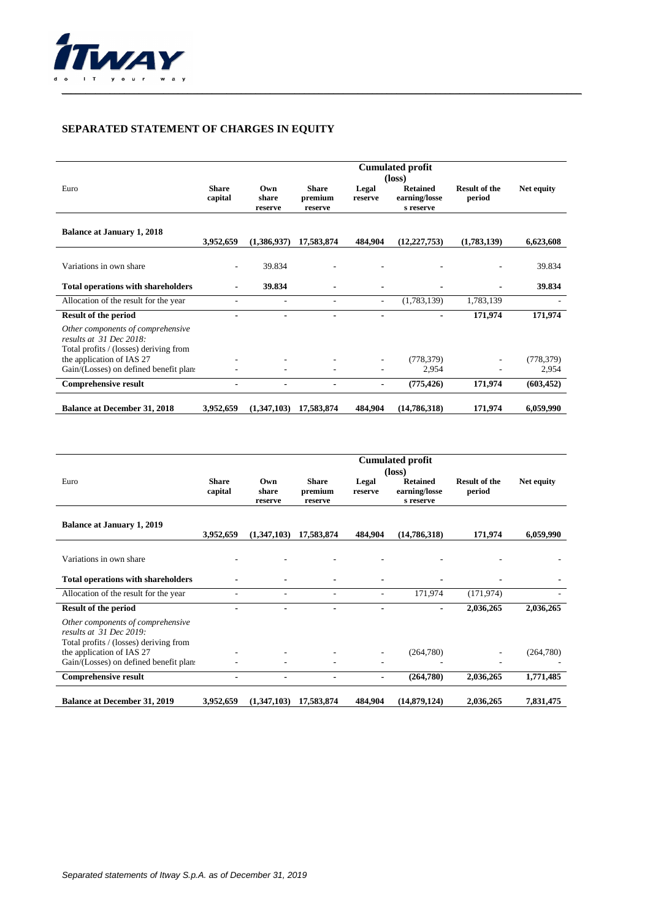

## **SEPARATED STATEMENT OF CHARGES IN EQUITY**

|                                                                                                               | <b>Cumulated profit</b><br>$(\text{loss})$ |                          |                                    |                          |                                               |                                |                     |
|---------------------------------------------------------------------------------------------------------------|--------------------------------------------|--------------------------|------------------------------------|--------------------------|-----------------------------------------------|--------------------------------|---------------------|
| Euro                                                                                                          | <b>Share</b><br>capital                    | Own<br>share<br>reserve  | <b>Share</b><br>premium<br>reserve | Legal<br>reserve         | <b>Retained</b><br>earning/losse<br>s reserve | <b>Result of the</b><br>period | Net equity          |
| <b>Balance at January 1, 2018</b>                                                                             | 3,952,659                                  | (1,386,937)              | 17,583,874                         | 484.904                  | (12, 227, 753)                                | (1,783,139)                    | 6,623,608           |
| Variations in own share                                                                                       | ٠                                          | 39.834                   |                                    |                          |                                               |                                | 39.834              |
| <b>Total operations with shareholders</b>                                                                     |                                            | 39.834                   |                                    |                          |                                               |                                | 39.834              |
| Allocation of the result for the year                                                                         |                                            | $\overline{\phantom{a}}$ |                                    | $\sim$                   | (1,783,139)                                   | 1,783,139                      |                     |
| <b>Result of the period</b><br>Other components of comprehensive<br>results at 31 Dec 2018:                   |                                            |                          |                                    | $\overline{\phantom{a}}$ | $\blacksquare$                                | 171,974                        | 171,974             |
| Total profits / (losses) deriving from<br>the application of IAS 27<br>Gain/(Losses) on defined benefit plan: | ٠                                          |                          |                                    |                          | (778, 379)<br>2,954                           |                                | (778, 379)<br>2,954 |
| <b>Comprehensive result</b>                                                                                   | $\blacksquare$                             | ٠                        |                                    | $\blacksquare$           | (775, 426)                                    | 171,974                        | (603, 452)          |
| <b>Balance at December 31, 2018</b>                                                                           | 3,952,659                                  | (1,347,103)              | 17,583,874                         | 484,904                  | (14,786,318)                                  | 171,974                        | 6,059,990           |

|                                                                                                          |                         | <b>Cumulated profit</b><br>$(\text{loss})$ |                                    |                  |                                               |                                |            |  |
|----------------------------------------------------------------------------------------------------------|-------------------------|--------------------------------------------|------------------------------------|------------------|-----------------------------------------------|--------------------------------|------------|--|
| Euro                                                                                                     | <b>Share</b><br>capital | Own<br>share<br>reserve                    | <b>Share</b><br>premium<br>reserve | Legal<br>reserve | <b>Retained</b><br>earning/losse<br>s reserve | <b>Result of the</b><br>period | Net equity |  |
| <b>Balance at January 1, 2019</b>                                                                        | 3.952,659               | (1,347,103)                                | 17,583,874                         | 484.904          | (14,786,318)                                  | 171,974                        | 6,059,990  |  |
| Variations in own share                                                                                  |                         |                                            |                                    |                  |                                               |                                |            |  |
| <b>Total operations with shareholders</b>                                                                |                         |                                            |                                    |                  |                                               |                                |            |  |
| Allocation of the result for the year                                                                    |                         |                                            |                                    |                  | 171,974                                       | (171, 974)                     |            |  |
| Result of the period                                                                                     |                         |                                            |                                    |                  | $\blacksquare$                                | 2,036,265                      | 2,036,265  |  |
| Other components of comprehensive<br>results at $31$ Dec 2019:<br>Total profits / (losses) deriving from |                         |                                            |                                    |                  |                                               |                                |            |  |
| the application of IAS 27                                                                                |                         |                                            |                                    |                  | (264,780)                                     |                                | (264,780)  |  |
| Gain/(Losses) on defined benefit plan:                                                                   |                         |                                            |                                    |                  |                                               |                                |            |  |
| <b>Comprehensive result</b>                                                                              |                         |                                            |                                    |                  | (264,780)                                     | 2,036,265                      | 1,771,485  |  |
| <b>Balance at December 31, 2019</b>                                                                      | 3,952,659               | (1,347,103)                                | 17,583,874                         | 484,904          | (14,879,124)                                  | 2,036,265                      | 7,831,475  |  |